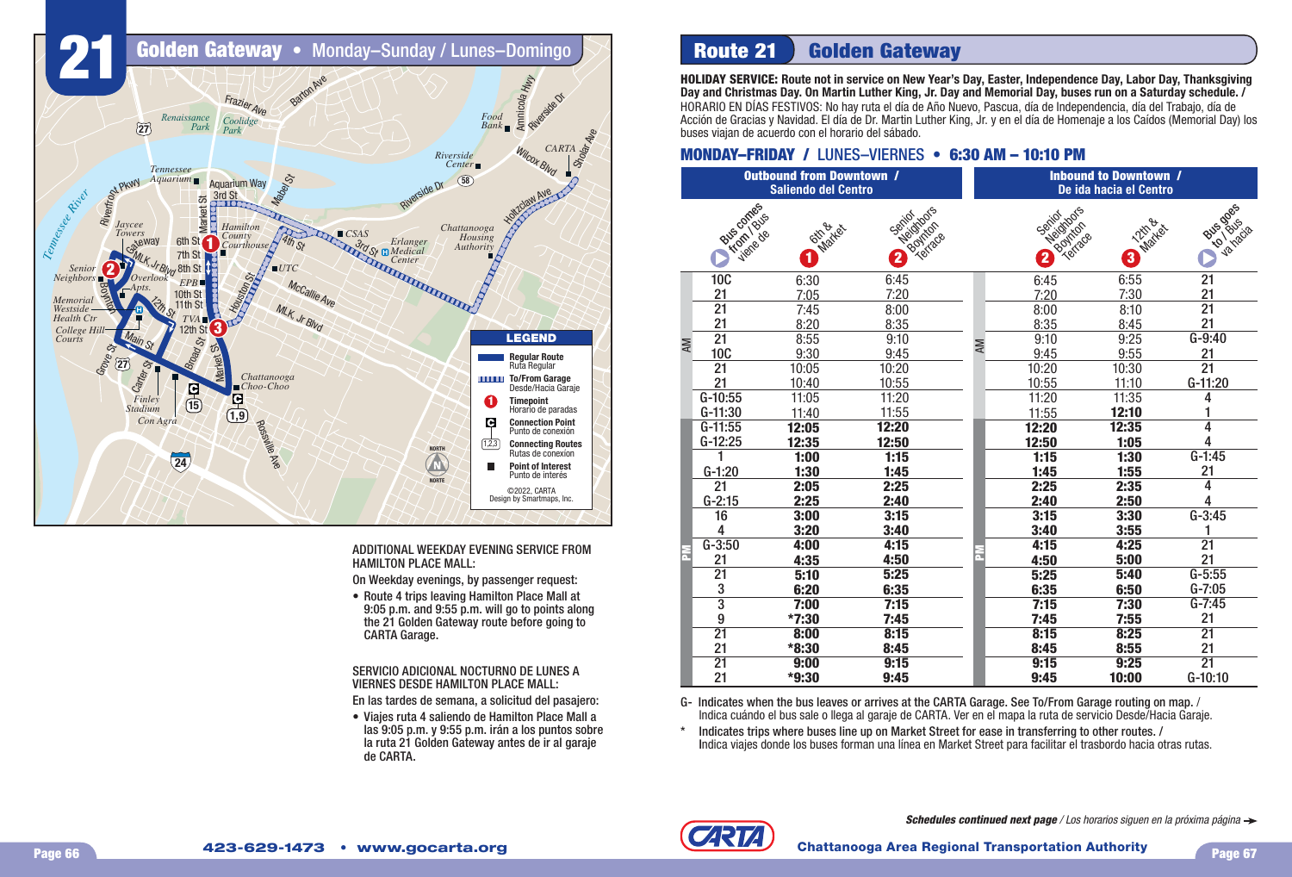

ADDITIONAL WEEKDAY EVENING SERVICE FROM HAMILTON PLACE MALL:

On Weekday evenings, by passenger request:

• Route 4 trips leaving Hamilton Place Mall at 9:05 p.m. and 9:55 p.m. will go to points along the 21 Golden Gateway route before going to CARTA Garage.

SERVICIO ADICIONAL NOCTURNO DE LUNES A VIERNES DESDE HAMILTON PLACE MALL:

En las tardes de semana, a solicitud del pasajero:

• Viaies ruta 4 saliendo de Hamilton Place Mall a las 9:05 p.m. y 9:55 p.m. irán a los puntos sobre la ruta 21 Golden Gateway antes de ir al garaje de CARTA.

# **Route 21 Golden Gateway**

**HOLIDAY SERVICE: Route not in service on New Year's Day, Easter, Independence Day, Labor Day, Thanksgiving Day and Christmas Day. On Martin Luther King, Jr. Day and Memorial Day, buses run on a Saturday schedule. /** HORARIO EN DÍAS FESTIVOS: No hay ruta el día de Año Nuevo, Pascua, día de Independencia, día del Trabajo, día de Acción de Gracias y Navidad. El día de Dr. Martin Luther King, Jr. y en el día de Homenaje a los Caídos (Memorial Day) los buses viajan de acuerdo con el horario del sábado.

### **MONDAY–FRIDAY / LUNES–VIERNES • 6:30 AM - 10:10 PM**

| <b>Outbound from Downtown /</b><br><b>Saliendo del Centro</b> |                                           |                                       |                                                              |    | <b>Inbound to Downtown /</b><br>De ida hacia el Centro |                                       |                                                        |                             |  |  |
|---------------------------------------------------------------|-------------------------------------------|---------------------------------------|--------------------------------------------------------------|----|--------------------------------------------------------|---------------------------------------|--------------------------------------------------------|-----------------------------|--|--|
|                                                               | Bus comes<br><b>Hydri</b> Bus<br>viene de | <b>Gina</b><br>Market<br>$\mathbf{1}$ | Neidribas<br>Seritor.<br>Bountage<br>$\overline{\mathbf{2}}$ |    |                                                        | D Boundary<br>$\overline{\mathbf{2}}$ | <b>12th &amp;</b><br>Market<br>$\overline{\mathbf{3}}$ | <b>Programs</b><br>va hacia |  |  |
| ΑM                                                            | <b>10C</b>                                | 6:30                                  | 6:45                                                         |    |                                                        | 6:45                                  | 6:55                                                   | $\overline{21}$             |  |  |
|                                                               | 21                                        | 7:05                                  | 7:20                                                         |    |                                                        | 7:20                                  | 7:30                                                   | <u>21</u>                   |  |  |
|                                                               | $\overline{21}$                           | 7:45                                  | 8:00                                                         |    |                                                        | 8:00                                  | 8:10                                                   | $\overline{21}$             |  |  |
|                                                               | 21                                        | 8:20                                  | 8:35                                                         |    |                                                        | 8:35                                  | 8:45                                                   | 21                          |  |  |
|                                                               | $\overline{21}$                           | 8:55                                  | 9:10                                                         | AM |                                                        | 9:10                                  | 9:25                                                   | $G-9:40$                    |  |  |
|                                                               | <b>10C</b>                                | 9:30                                  | 9:45                                                         |    |                                                        | 9:45                                  | 9:55                                                   | 21                          |  |  |
|                                                               | 21                                        | 10:05                                 | 10:20                                                        |    |                                                        | 10:20                                 | 10:30                                                  | $\overline{21}$             |  |  |
|                                                               | 21                                        | 10:40                                 | 10:55                                                        |    |                                                        | 10:55                                 | 11:10                                                  | G-11:20                     |  |  |
|                                                               | G-10:55                                   | 11:05                                 | 11:20                                                        |    |                                                        | 11:20                                 | 11:35                                                  | 4                           |  |  |
|                                                               | G-11:30                                   | 11:40                                 | 11:55                                                        |    |                                                        | 11:55                                 | 12:10                                                  |                             |  |  |
|                                                               | $G-11:55$                                 | 12:05                                 | 12:20                                                        |    |                                                        | 12:20                                 | 12:35                                                  | 4                           |  |  |
|                                                               | $G-12:25$                                 | 12:35                                 | 12:50                                                        |    |                                                        | 12:50                                 | 1:05                                                   | 4                           |  |  |
|                                                               |                                           | 1:00                                  | 1:15                                                         |    |                                                        | 1:15                                  | 1:30                                                   | $G-1:45$                    |  |  |
|                                                               | $G-1:20$                                  | 1:30                                  | 1:45                                                         |    |                                                        | 1:45                                  | 1:55                                                   | 21                          |  |  |
|                                                               | 21                                        | 2:05                                  | 2:25                                                         |    |                                                        | 2:25                                  | 2:35                                                   | $\overline{4}$              |  |  |
|                                                               | $G-2:15$                                  | 2:25                                  | 2:40                                                         |    |                                                        | 2:40                                  | 2:50                                                   | 4                           |  |  |
|                                                               | 16                                        | 3:00                                  | 3:15                                                         |    |                                                        | 3:15                                  | 3:30                                                   | $G - 3:45$                  |  |  |
|                                                               | 4                                         | 3:20                                  | 3:40                                                         |    |                                                        | 3:40                                  | 3:55                                                   |                             |  |  |
|                                                               | $G-3:50$                                  | 4:00                                  | 4:15                                                         |    |                                                        | 4:15                                  | 4:25                                                   | $\overline{21}$             |  |  |
|                                                               | 21                                        | 4:35                                  | 4:50                                                         | n. |                                                        | 4:50                                  | 5:00                                                   | 21                          |  |  |
|                                                               | $\overline{21}$                           | 5:10                                  | 5:25                                                         |    |                                                        | 5:25                                  | 5:40                                                   | $G - 5:55$                  |  |  |
|                                                               | 3                                         | 6:20                                  | 6:35                                                         |    |                                                        | 6:35                                  | 6:50                                                   | $G - 7:05$                  |  |  |
|                                                               | $\overline{3}$                            | 7:00                                  | 7:15                                                         |    |                                                        | 7:15                                  | 7:30                                                   | $G - 7:45$                  |  |  |
|                                                               | 9                                         | *7:30                                 | 7:45                                                         |    |                                                        | 7:45                                  | 7:55                                                   | 21                          |  |  |
|                                                               | $\overline{21}$                           | 8:00                                  | 8:15                                                         |    |                                                        | 8:15                                  | 8:25                                                   | $\overline{21}$             |  |  |
|                                                               | 21                                        | *8:30                                 | 8:45                                                         |    |                                                        | 8:45                                  | 8:55                                                   | 21                          |  |  |
|                                                               | $\overline{21}$                           | 9:00                                  | 9:15                                                         |    |                                                        | 9:15                                  | 9:25                                                   | $\overline{21}$             |  |  |
|                                                               | 21                                        | *9:30                                 | 9:45                                                         |    |                                                        | 9:45                                  | 10:00                                                  | G-10:10                     |  |  |

G- Indicates when the bus leaves or arrives at the CARTA Garage. See To/From Garage routing on map. / Indica cuándo el bus sale o llega al garaje de CARTA. Ver en el mapa la ruta de servicio Desde/Hacia Garaje.

\* Indicates trips where buses line up on Market Street for ease in transferring to other routes. / Indica viajes donde los buses forman una línea en Market Street para facilitar el trasbordo hacia otras rutas.